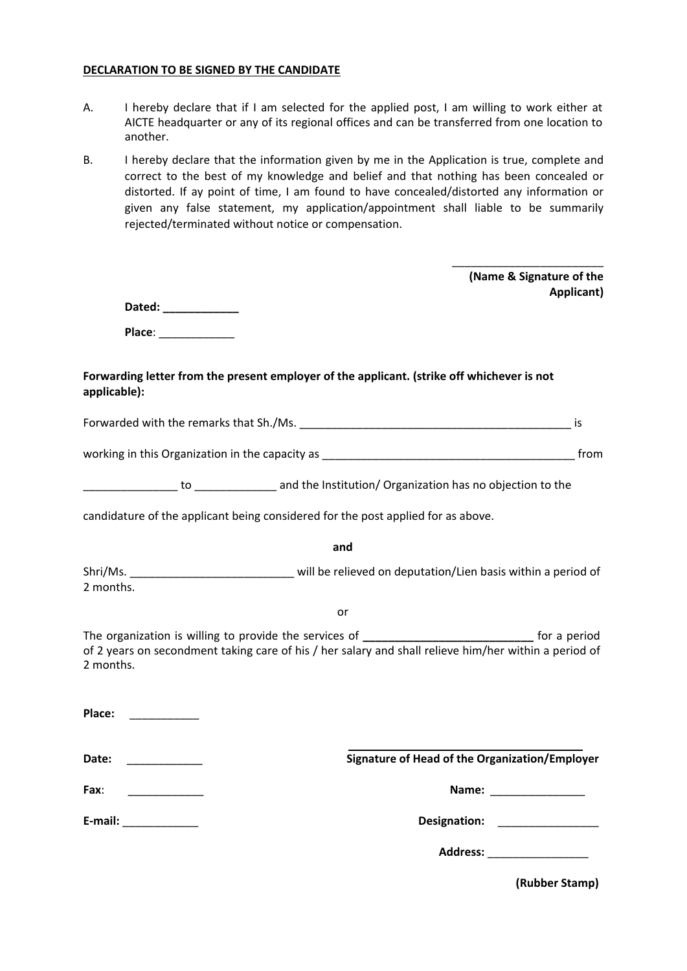#### **DECLARATION TO BE SIGNED BY THE CANDIDATE**

- A. I hereby declare that if I am selected for the applied post, I am willing to work either at AICTE headquarter or any of its regional offices and can be transferred from one location to another.
- B. I hereby declare that the information given by me in the Application is true, complete and correct to the best of my knowledge and belief and that nothing has been concealed or distorted. If ay point of time, I am found to have concealed/distorted any information or given any false statement, my application/appointment shall liable to be summarily rejected/terminated without notice or compensation.

| Dated: _____________<br>Place: New York Place:<br>Forwarding letter from the present employer of the applicant. (strike off whichever is not<br>applicable):<br><b>is</b><br>candidature of the applicant being considered for the post applied for as above.<br>and<br>Shri/Ms. ________________________________ will be relieved on deputation/Lien basis within a period of<br>2 months.<br>or<br>The organization is willing to provide the services of _________________________________ for a period<br>of 2 years on secondment taking care of his / her salary and shall relieve him/her within a period of<br>2 months.<br>Place:<br>Signature of Head of the Organization/Employer<br>Date:<br>Fax:<br>Name: _________________<br><u> 1980 - Albert Stormer (</u><br>E-mail: ______________<br>Designation: ________________ |  | (Name & Signature of the<br>Applicant) |
|----------------------------------------------------------------------------------------------------------------------------------------------------------------------------------------------------------------------------------------------------------------------------------------------------------------------------------------------------------------------------------------------------------------------------------------------------------------------------------------------------------------------------------------------------------------------------------------------------------------------------------------------------------------------------------------------------------------------------------------------------------------------------------------------------------------------------------------|--|----------------------------------------|
|                                                                                                                                                                                                                                                                                                                                                                                                                                                                                                                                                                                                                                                                                                                                                                                                                                        |  |                                        |
|                                                                                                                                                                                                                                                                                                                                                                                                                                                                                                                                                                                                                                                                                                                                                                                                                                        |  |                                        |
|                                                                                                                                                                                                                                                                                                                                                                                                                                                                                                                                                                                                                                                                                                                                                                                                                                        |  |                                        |
|                                                                                                                                                                                                                                                                                                                                                                                                                                                                                                                                                                                                                                                                                                                                                                                                                                        |  |                                        |
|                                                                                                                                                                                                                                                                                                                                                                                                                                                                                                                                                                                                                                                                                                                                                                                                                                        |  |                                        |
|                                                                                                                                                                                                                                                                                                                                                                                                                                                                                                                                                                                                                                                                                                                                                                                                                                        |  |                                        |
|                                                                                                                                                                                                                                                                                                                                                                                                                                                                                                                                                                                                                                                                                                                                                                                                                                        |  |                                        |
|                                                                                                                                                                                                                                                                                                                                                                                                                                                                                                                                                                                                                                                                                                                                                                                                                                        |  |                                        |
|                                                                                                                                                                                                                                                                                                                                                                                                                                                                                                                                                                                                                                                                                                                                                                                                                                        |  |                                        |
|                                                                                                                                                                                                                                                                                                                                                                                                                                                                                                                                                                                                                                                                                                                                                                                                                                        |  |                                        |
|                                                                                                                                                                                                                                                                                                                                                                                                                                                                                                                                                                                                                                                                                                                                                                                                                                        |  |                                        |
|                                                                                                                                                                                                                                                                                                                                                                                                                                                                                                                                                                                                                                                                                                                                                                                                                                        |  |                                        |
|                                                                                                                                                                                                                                                                                                                                                                                                                                                                                                                                                                                                                                                                                                                                                                                                                                        |  |                                        |
|                                                                                                                                                                                                                                                                                                                                                                                                                                                                                                                                                                                                                                                                                                                                                                                                                                        |  |                                        |
|                                                                                                                                                                                                                                                                                                                                                                                                                                                                                                                                                                                                                                                                                                                                                                                                                                        |  |                                        |
| Address: ____________________                                                                                                                                                                                                                                                                                                                                                                                                                                                                                                                                                                                                                                                                                                                                                                                                          |  |                                        |

**(Rubber Stamp)**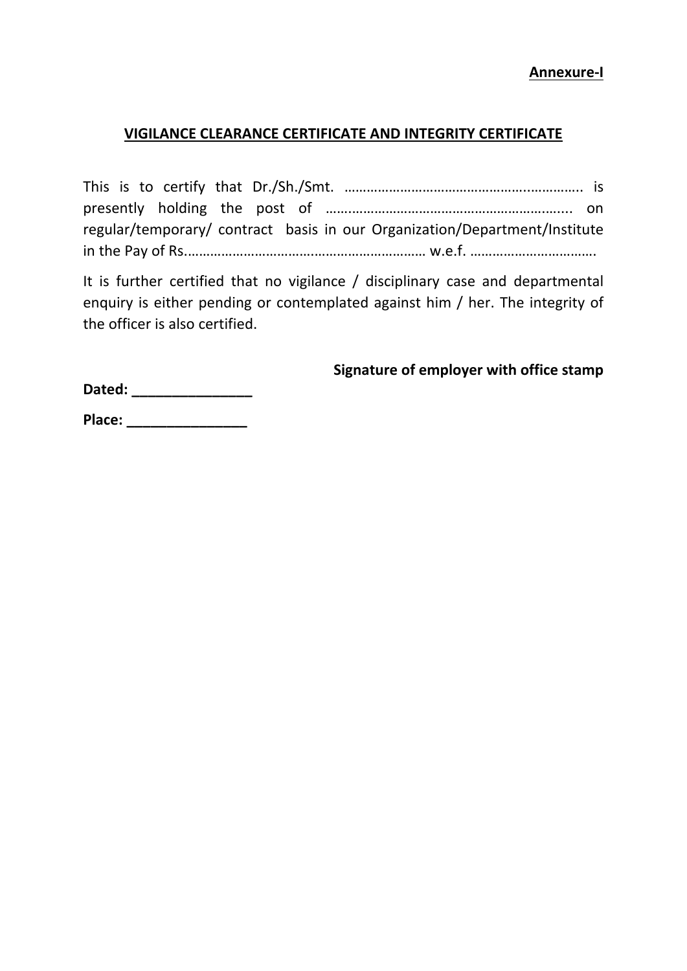## **VIGILANCE CLEARANCE CERTIFICATE AND INTEGRITY CERTIFICATE**

|  |  | regular/temporary/ contract basis in our Organization/Department/Institute |  |  |  |  |  |  |
|--|--|----------------------------------------------------------------------------|--|--|--|--|--|--|
|  |  |                                                                            |  |  |  |  |  |  |

It is further certified that no vigilance / disciplinary case and departmental enquiry is either pending or contemplated against him / her. The integrity of the officer is also certified.

# **Signature of employer with office stamp**

**Dated: \_\_\_\_\_\_\_\_\_\_\_\_\_\_\_** 

**Place: \_\_\_\_\_\_\_\_\_\_\_\_\_\_\_**